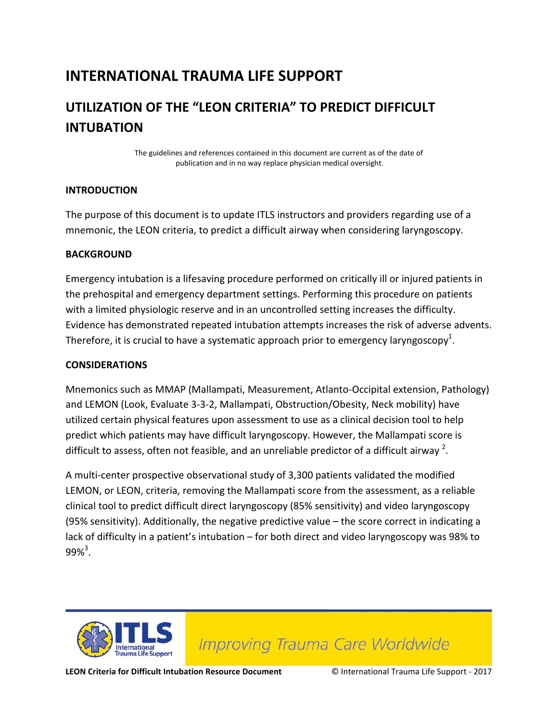## **INTERNATIONAL TRAUMA LIFE SUPPORT**

## **UTILIZATION OF THE "LEON CRITERIA" TO PREDICT DIFFICULT INTUBATION**

The guidelines and references contained in this document are current as of the date of publication and in no way replace physician medical oversight.

#### **INTRODUCTION**

The purpose of this document is to update ITLS instructors and providers regarding use of a mnemonic, the LEON criteria, to predict a difficult airway when considering laryngoscopy.

#### **BACKGROUND**

Emergency intubation is a lifesaving procedure performed on critically ill or injured patients in the prehospital and emergency department settings. Performing this procedure on patients with a limited physiologic reserve and in an uncontrolled setting increases the difficulty. Evidence has demonstrated repeated intubation attempts increases the risk of adverse advents. Therefore, it is crucial to have a systematic approach prior to emergency laryngoscopy<sup>1</sup>.

#### **CONSIDERATIONS**

Mnemonics such as MMAP (Mallampati, Measurement, Atlanto-Occipital extension, Pathology) and LEMON (Look, Evaluate 3-3-2, Mallampati, Obstruction/Obesity, Neck mobility) have utilized certain physical features upon assessment to use as a clinical decision tool to help predict which patients may have difficult laryngoscopy. However, the Mallampati score is difficult to assess, often not feasible, and an unreliable predictor of a difficult airway  $^2$ .

A multi-center prospective observational study of 3,300 patients validated the modified LEMON, or LEON, criteria, removing the Mallampati score from the assessment, as a reliable clinical tool to predict difficult direct laryngoscopy (85% sensitivity) and video laryngoscopy (95% sensitivity). Additionally, the negative predictive value – the score correct in indicating a lack of difficulty in a patient's intubation – for both direct and video laryngoscopy was 98% to  $99\%^{3}$ .



**Improving Trauma Care Worldwide** 

**LEON Criteria for Difficult Intubation Resource Document** © International Trauma Life Support - 2017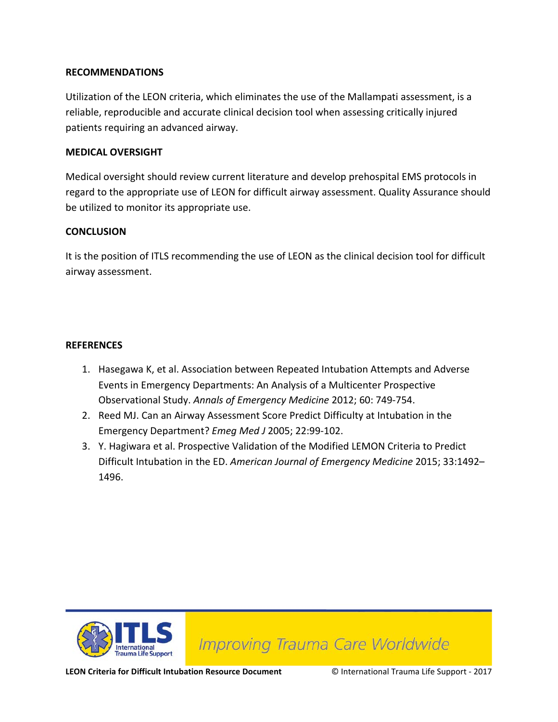#### **RECOMMENDATIONS**

Utilization of the LEON criteria, which eliminates the use of the Mallampati assessment, is a reliable, reproducible and accurate clinical decision tool when assessing critically injured patients requiring an advanced airway.

#### **MEDICAL OVERSIGHT**

Medical oversight should review current literature and develop prehospital EMS protocols in regard to the appropriate use of LEON for difficult airway assessment. Quality Assurance should be utilized to monitor its appropriate use.

#### **CONCLUSION**

It is the position of ITLS recommending the use of LEON as the clinical decision tool for difficult airway assessment.

#### **REFERENCES**

- 1. Hasegawa K, et al. Association between Repeated Intubation Attempts and Adverse Events in Emergency Departments: An Analysis of a Multicenter Prospective Observational Study. *Annals of Emergency Medicine* 2012; 60: 749-754.
- 2. Reed MJ. Can an Airway Assessment Score Predict Difficulty at Intubation in the Emergency Department? *Emeg Med J* 2005; 22:99-102.
- 3. Y. Hagiwara et al. Prospective Validation of the Modified LEMON Criteria to Predict Difficult Intubation in the ED. *American Journal of Emergency Medicine* 2015; 33:1492– 1496.



**Improving Trauma Care Worldwide** 

**LEON Criteria for Difficult Intubation Resource Document** © International Trauma Life Support - 2017